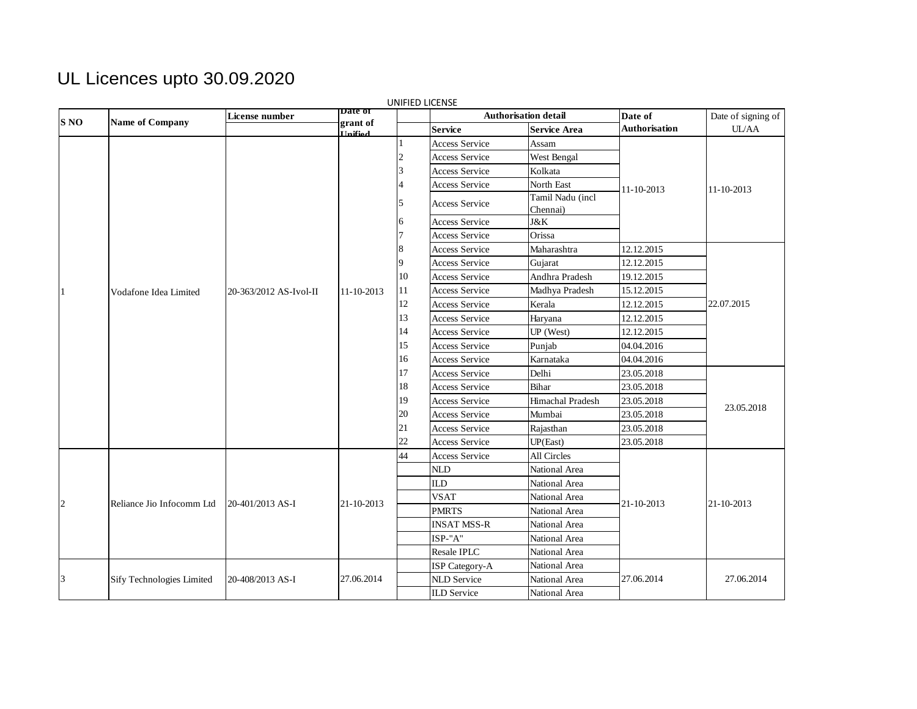## UL Licences upto 30.09.2020

| <b>S NO</b> | Name of Company           | License number         | <b>Date of</b>             |    | Authorisation detail  |                     | Date of              | Date of signing of |  |
|-------------|---------------------------|------------------------|----------------------------|----|-----------------------|---------------------|----------------------|--------------------|--|
|             |                           |                        | grant of<br><b>Unified</b> |    | <b>Service</b>        | <b>Service Area</b> | <b>Authorisation</b> | <b>UL/AA</b>       |  |
|             |                           | 20-363/2012 AS-Ivol-II |                            |    | <b>Access Service</b> | Assam               |                      |                    |  |
|             |                           |                        |                            |    | <b>Access Service</b> | West Bengal         |                      |                    |  |
|             |                           |                        |                            |    | <b>Access Service</b> | Kolkata             |                      |                    |  |
|             |                           |                        |                            |    | Access Service        | North East          | 11-10-2013           | 11-10-2013         |  |
|             |                           |                        |                            |    | <b>Access Service</b> | Tamil Nadu (incl    |                      |                    |  |
|             |                           |                        |                            |    |                       | Chennai)            |                      |                    |  |
|             |                           |                        |                            |    | <b>Access Service</b> | J&K                 |                      |                    |  |
|             |                           |                        |                            |    | Access Service        | Orissa              |                      |                    |  |
|             |                           |                        |                            |    | <b>Access Service</b> | Maharashtra         | 12.12.2015           |                    |  |
|             | Vodafone Idea Limited     |                        |                            |    | <b>Access Service</b> | Gujarat             | 12.12.2015           |                    |  |
|             |                           |                        |                            | 10 | <b>Access Service</b> | Andhra Pradesh      | 19.12.2015           |                    |  |
| $\vert$ 1   |                           |                        | 11-10-2013                 | 11 | <b>Access Service</b> | Madhya Pradesh      | 15.12.2015           |                    |  |
|             |                           |                        |                            | 12 | <b>Access Service</b> | Kerala              | 12.12.2015           | 22.07.2015         |  |
|             |                           |                        |                            | 13 | <b>Access Service</b> | Haryana             | 12.12.2015           |                    |  |
|             |                           |                        |                            | 14 | <b>Access Service</b> | UP (West)           | 12.12.2015           |                    |  |
|             |                           |                        |                            | 15 | <b>Access Service</b> | Punjab              | 04.04.2016           |                    |  |
|             |                           |                        |                            | 16 | <b>Access Service</b> | Karnataka           | 04.04.2016           |                    |  |
|             |                           |                        |                            | 17 | <b>Access Service</b> | Delhi               | 23.05.2018           |                    |  |
|             |                           |                        |                            | 18 | <b>Access Service</b> | Bihar               | 23.05.2018           |                    |  |
|             |                           |                        |                            | 19 | <b>Access Service</b> | Himachal Pradesh    | 23.05.2018           | 23.05.2018         |  |
|             |                           |                        |                            | 20 | Access Service        | Mumbai              | 23.05.2018           |                    |  |
|             |                           |                        |                            | 21 | Access Service        | Rajasthan           | 23.05.2018           |                    |  |
|             |                           |                        |                            | 22 | <b>Access Service</b> | UP(East)            | 23.05.2018           |                    |  |
| $\sqrt{2}$  | Reliance Jio Infocomm Ltd | 20-401/2013 AS-I       |                            | 44 | <b>Access Service</b> | <b>All Circles</b>  |                      |                    |  |
|             |                           |                        |                            |    | <b>NLD</b>            | National Area       |                      |                    |  |
|             |                           |                        |                            |    | <b>ILD</b>            | National Area       |                      |                    |  |
|             |                           |                        | 21-10-2013                 |    | <b>VSAT</b>           | National Area       |                      |                    |  |
|             |                           |                        |                            |    | <b>PMRTS</b>          | National Area       | 21-10-2013           | 21-10-2013         |  |
|             |                           |                        |                            |    | <b>INSAT MSS-R</b>    | National Area       |                      |                    |  |
|             |                           |                        |                            |    | ISP-"A"               | National Area       |                      |                    |  |
|             |                           |                        |                            |    | Resale IPLC           | National Area       |                      |                    |  |
|             | Sify Technologies Limited | 20-408/2013 AS-I       |                            |    | ISP Category-A        | National Area       |                      |                    |  |
| 3           |                           |                        | 27.06.2014                 |    | <b>NLD</b> Service    | National Area       | 27.06.2014           | 27.06.2014         |  |
|             |                           |                        |                            |    | <b>ILD</b> Service    | National Area       |                      |                    |  |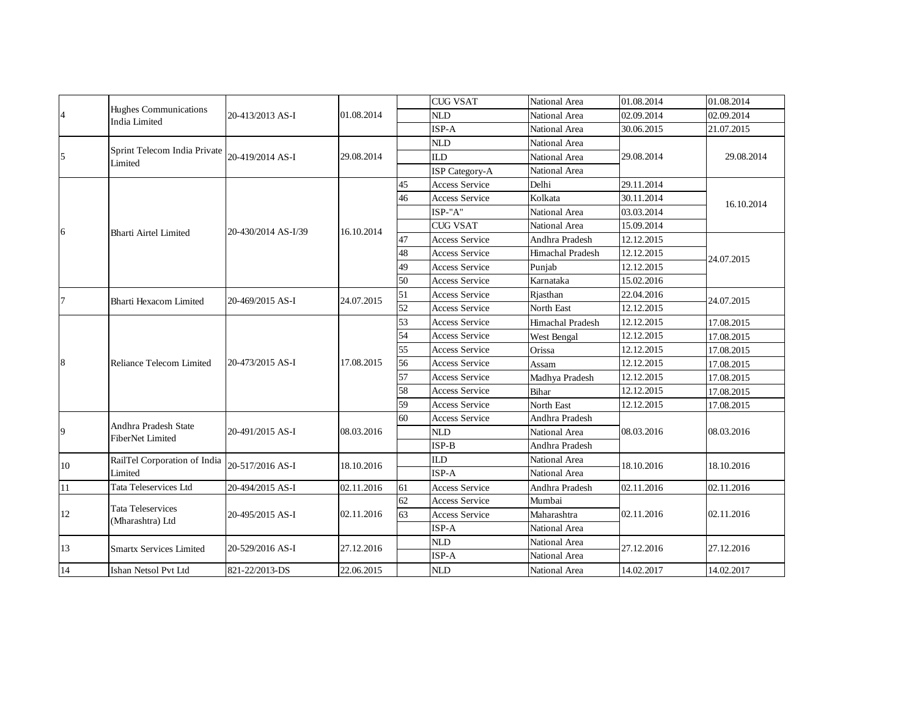| 4      | <b>Hughes Communications</b><br><b>India Limited</b> | 20-413/2013 AS-I    |            |    | <b>CUG VSAT</b>       | National Area    | 01.08.2014 | 01.08.2014 |  |
|--------|------------------------------------------------------|---------------------|------------|----|-----------------------|------------------|------------|------------|--|
|        |                                                      |                     | 01.08.2014 |    | <b>NLD</b>            | National Area    | 02.09.2014 | 02.09.2014 |  |
|        |                                                      |                     |            |    | ISP-A                 | National Area    | 30.06.2015 | 21.07.2015 |  |
| 5      | Sprint Telecom India Private<br>Limited              | 20-419/2014 AS-I    |            |    | <b>NLD</b>            | National Area    |            |            |  |
|        |                                                      |                     | 29.08.2014 |    | <b>ILD</b>            | National Area    | 29.08.2014 | 29.08.2014 |  |
|        |                                                      |                     |            |    | <b>ISP</b> Category-A | National Area    |            |            |  |
| 6      | <b>Bharti Airtel Limited</b>                         | 20-430/2014 AS-I/39 | 16.10.2014 | 45 | Access Service        | Delhi            | 29.11.2014 |            |  |
|        |                                                      |                     |            | 46 | <b>Access Service</b> | Kolkata          | 30.11.2014 | 16.10.2014 |  |
|        |                                                      |                     |            |    | ISP-"A"               | National Area    | 03.03.2014 |            |  |
|        |                                                      |                     |            |    | <b>CUG VSAT</b>       | National Area    | 15.09.2014 |            |  |
|        |                                                      |                     |            | 47 | <b>Access Service</b> | Andhra Pradesh   | 12.12.2015 | 24.07.2015 |  |
|        |                                                      |                     |            | 48 | <b>Access Service</b> | Himachal Pradesh | 12.12.2015 |            |  |
|        |                                                      |                     |            | 49 | <b>Access Service</b> | Punjab           | 12.12.2015 |            |  |
|        |                                                      |                     |            | 50 | <b>Access Service</b> | Karnataka        | 15.02.2016 |            |  |
| $\tau$ | Bharti Hexacom Limited                               | 20-469/2015 AS-I    | 24.07.2015 | 51 | <b>Access Service</b> | Rjasthan         | 22.04.2016 | 24.07.2015 |  |
|        |                                                      |                     |            | 52 | <b>Access Service</b> | North East       | 12.12.2015 |            |  |
|        | Reliance Telecom Limited                             | 20-473/2015 AS-I    | 17.08.2015 | 53 | <b>Access Service</b> | Himachal Pradesh | 12.12.2015 | 17.08.2015 |  |
|        |                                                      |                     |            | 54 | <b>Access Service</b> | West Bengal      | 12.12.2015 | 17.08.2015 |  |
|        |                                                      |                     |            | 55 | <b>Access Service</b> | Orissa           | 12.12.2015 | 17.08.2015 |  |
| 8      |                                                      |                     |            | 56 | <b>Access Service</b> | Assam            | 12.12.2015 | 17.08.2015 |  |
|        |                                                      |                     |            | 57 | <b>Access Service</b> | Madhya Pradesh   | 12.12.2015 | 17.08.2015 |  |
|        |                                                      |                     |            | 58 | <b>Access Service</b> | Bihar            | 12.12.2015 | 17.08.2015 |  |
|        |                                                      |                     |            | 59 | <b>Access Service</b> | North East       | 12.12.2015 | 17.08.2015 |  |
|        | Andhra Pradesh State<br><b>FiberNet Limited</b>      | 20-491/2015 AS-I    |            | 60 | <b>Access Service</b> | Andhra Pradesh   |            | 08.03.2016 |  |
| 9      |                                                      |                     | 08.03.2016 |    | <b>NLD</b>            | National Area    | 08.03.2016 |            |  |
|        |                                                      |                     |            |    | $ISP-B$               | Andhra Pradesh   |            |            |  |
| 10     | RailTel Corporation of India<br>Limited              | 20-517/2016 AS-I    | 18.10.2016 |    | <b>ILD</b>            | National Area    | 18.10.2016 | 18.10.2016 |  |
|        |                                                      |                     |            |    | ISP-A                 | National Area    |            |            |  |
| 11     | Tata Teleservices Ltd                                | 20-494/2015 AS-I    | 02.11.2016 | 61 | <b>Access Service</b> | Andhra Pradesh   | 02.11.2016 | 02.11.2016 |  |
| $12\,$ | <b>Tata Teleservices</b><br>(Mharashtra) Ltd         | 20-495/2015 AS-I    | 02.11.2016 | 62 | <b>Access Service</b> | Mumbai           |            | 02.11.2016 |  |
|        |                                                      |                     |            | 63 | Access Service        | Maharashtra      | 02.11.2016 |            |  |
|        |                                                      |                     |            |    | ISP-A                 | National Area    |            |            |  |
| 13     | <b>Smartx Services Limited</b>                       | 20-529/2016 AS-I    | 27.12.2016 |    | <b>NLD</b>            | National Area    | 27.12.2016 | 27.12.2016 |  |
|        |                                                      |                     |            |    | ISP-A                 | National Area    |            |            |  |
| 14     | Ishan Netsol Pvt Ltd                                 | 821-22/2013-DS      | 22.06.2015 |    | <b>NLD</b>            | National Area    | 14.02.2017 | 14.02.2017 |  |